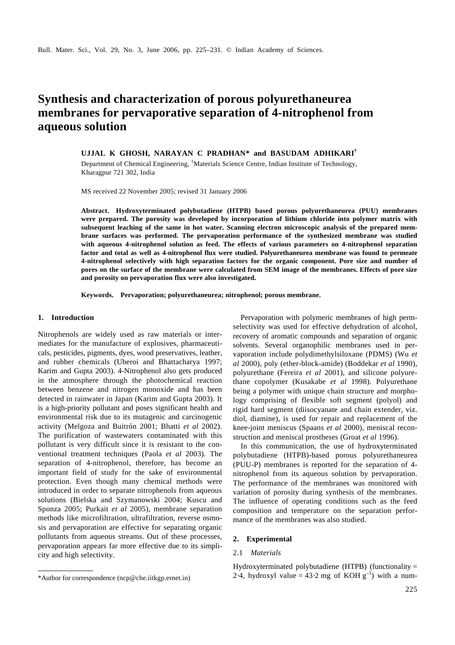# **Synthesis and characterization of porous polyurethaneurea membranes for pervaporative separation of 4-nitrophenol from aqueous solution**

**UJJAL K GHOSH, NARAYAN C PRADHAN\* and BASUDAM ADHIKARI†**

Department of Chemical Engineering, †Materials Science Centre, Indian Institute of Technology, Kharagpur 721 302, India

MS received 22 November 2005; revised 31 January 2006

**Abstract. Hydroxyterminated polybutadiene (HTPB) based porous polyurethaneurea (PUU) membranes were prepared. The porosity was developed by incorporation of lithium chloride into polymer matrix with subsequent leaching of the same in hot water. Scanning electron microscopic analysis of the prepared membrane surfaces was performed. The pervaporation performance of the synthesized membrane was studied with aqueous 4-nitrophenol solution as feed. The effects of various parameters on 4-nitrophenol separation factor and total as well as 4-nitrophenol flux were studied. Polyurethaneurea membrane was found to permeate 4-nitrophenol selectively with high separation factors for the organic component. Pore size and number of pores on the surface of the membrane were calculated from SEM image of the membranes. Effects of pore size and porosity on pervaporation flux were also investigated.**

**Keywords. Pervaporation; polyurethaneurea; nitrophenol; porous membrane.**

### **1. Introduction**

Nitrophenols are widely used as raw materials or intermediates for the manufacture of explosives, pharmaceuticals, pesticides, pigments, dyes, wood preservatives, leather, and rubber chemicals (Uberoi and Bhattacharya 1997; Karim and Gupta 2003). 4-Nitrophenol also gets produced in the atmosphere through the photochemical reaction between benzene and nitrogen monoxide and has been detected in rainwater in Japan (Karim and Gupta 2003). It is a high-priority pollutant and poses significant health and environmental risk due to its mutagenic and carcinogenic activity (Melgoza and Buitrón 2001; Bhatti *et al* 2002). The purification of wastewaters contaminated with this pollutant is very difficult since it is resistant to the conventional treatment techniques (Paola *et al* 2003). The separation of 4-nitrophenol, therefore, has become an important field of study for the sake of environmental protection. Even though many chemical methods were introduced in order to separate nitrophenols from aqueous solutions (Bielska and Szymanowski 2004; Kuscu and Sponza 2005; Purkait *et al* 2005), membrane separation methods like microfiltration, ultrafiltration, reverse osmosis and pervaporation are effective for separating organic pollutants from aqueous streams. Out of these processes, pervaporation appears far more effective due to its simplicity and high selectivity.

Pervaporation with polymeric membranes of high permselectivity was used for effective dehydration of alcohol, recovery of aromatic compounds and separation of organic solvents. Several organophilic membranes used in pervaporation include polydimethylsiloxane (PDMS) (Wu *et al* 2000), poly (ether-block-amide) (Boddekar *et al* 1990), polyurethane (Fereira *et al* 2001), and silicone polyurethane copolymer (Kusakabe *et al* 1998). Polyurethane being a polymer with unique chain structure and morphology comprising of flexible soft segment (polyol) and rigid hard segment (diisocyanate and chain extender, viz. diol, diamine), is used for repair and replacement of the knee-joint meniscus (Spaans *et al* 2000), meniscal reconstruction and meniscal prostheses (Groat *et al* 1996).

In this communication, the use of hydroxyterminated polybutadiene (HTPB)-based porous polyurethaneurea (PUU-P) membranes is reported for the separation of 4 nitrophenol from its aqueous solution by pervaporation. The performance of the membranes was monitored with variation of porosity during synthesis of the membranes. The influence of operating conditions such as the feed composition and temperature on the separation performance of the membranes was also studied.

# **2. Experimental**

## 2.1 *Materials*

Hydroxyterminated polybutadiene (HTPB) (functionality  $=$ \*Author for correspondence (ncp@che.iitkgp.ernet.in) 2.4, hydroxyl value = 43.2 mg of KOH  $g^{-1}$ ) with a num-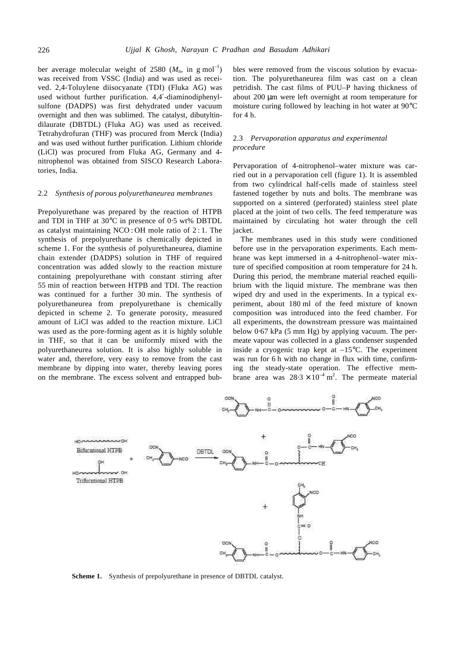ber average molecular weight of 2580  $(M_n, \text{ in g mol}^{-1})$ was received from VSSC (India) and was used as received. 2,4-Toluylene diisocyanate (TDI) (Fluka AG) was used without further purification. 4,4′-diaminodiphenylsulfone (DADPS) was first dehydrated under vacuum overnight and then was sublimed. The catalyst, dibutyltindilaurate (DBTDL) (Fluka AG) was used as received. Tetrahydrofuran (THF) was procured from Merck (India) and was used without further purification. Lithium chloride (LiCl) was procured from Fluka AG, Germany and 4 nitrophenol was obtained from SISCO Research Laboratories, India.

#### 2.2 *Synthesis of porous polyurethaneurea membranes*

Prepolyurethane was prepared by the reaction of HTPB and TDI in THF at 30°C in presence of 0⋅5 wt% DBTDL as catalyst maintaining NCO : OH mole ratio of 2 : 1. The synthesis of prepolyurethane is chemically depicted in scheme 1. For the synthesis of polyurethaneurea, diamine chain extender (DADPS) solution in THF of required concentration was added slowly to the reaction mixture containing prepolyurethane with constant stirring after 55 min of reaction between HTPB and TDI. The reaction was continued for a further 30 min. The synthesis of polyurethaneurea from prepolyurethane is chemically depicted in scheme 2. To generate porosity, measured amount of LiCl was added to the reaction mixture. LiCl was used as the pore-forming agent as it is highly soluble in THF, so that it can be uniformly mixed with the polyurethaneurea solution. It is also highly soluble in water and, therefore, very easy to remove from the cast membrane by dipping into water, thereby leaving pores on the membrane. The excess solvent and entrapped bub-

bles were removed from the viscous solution by evacuation. The polyurethaneurea film was cast on a clean petridish. The cast films of PUU–P having thickness of about 200 μm were left overnight at room temperature for moisture curing followed by leaching in hot water at 90°C for 4 h.

## 2.3 *Pervaporation apparatus and experimental procedure*

Pervaporation of 4-nitrophenol–water mixture was carried out in a pervaporation cell (figure 1). It is assembled from two cylindrical half-cells made of stainless steel fastened together by nuts and bolts. The membrane was supported on a sintered (perforated) stainless steel plate placed at the joint of two cells. The feed temperature was maintained by circulating hot water through the cell jacket.

The membranes used in this study were conditioned before use in the pervaporation experiments. Each membrane was kept immersed in a 4-nitrophenol–water mixture of specified composition at room temperature for 24 h. During this period, the membrane material reached equilibrium with the liquid mixture. The membrane was then wiped dry and used in the experiments. In a typical experiment, about 180 ml of the feed mixture of known composition was introduced into the feed chamber. For all experiments, the downstream pressure was maintained below 0⋅67 kPa (5 mm Hg) by applying vacuum. The permeate vapour was collected in a glass condenser suspended inside a cryogenic trap kept at  $-15^{\circ}$ C. The experiment was run for 6 h with no change in flux with time, confirming the steady-state operation. The effective membrane area was  $28.3 \times 10^{-4}$  m<sup>2</sup>. The permeate material



**Scheme 1.** Synthesis of prepolyurethane in presence of DBTDL catalyst.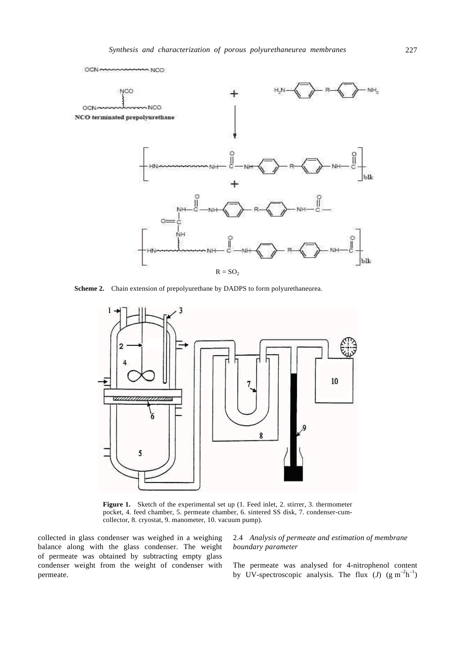

 **Scheme 2.** Chain extension of prepolyurethane by DADPS to form polyurethaneurea.



Figure 1. Sketch of the experimental set up (1. Feed inlet, 2. stirrer, 3. thermometer pocket, 4. feed chamber, 5. permeate chamber, 6. sintered SS disk, 7. condenser-cumcollector, 8. cryostat, 9. manometer, 10. vacuum pump).

collected in glass condenser was weighed in a weighing balance along with the glass condenser. The weight of permeate was obtained by subtracting empty glass condenser weight from the weight of condenser with permeate.

# 2.4 *Analysis of permeate and estimation of membrane boundary parameter*

The permeate was analysed for 4-nitrophenol content by UV-spectroscopic analysis. The flux  $(J)$   $(g m<sup>-2</sup>h<sup>-1</sup>)$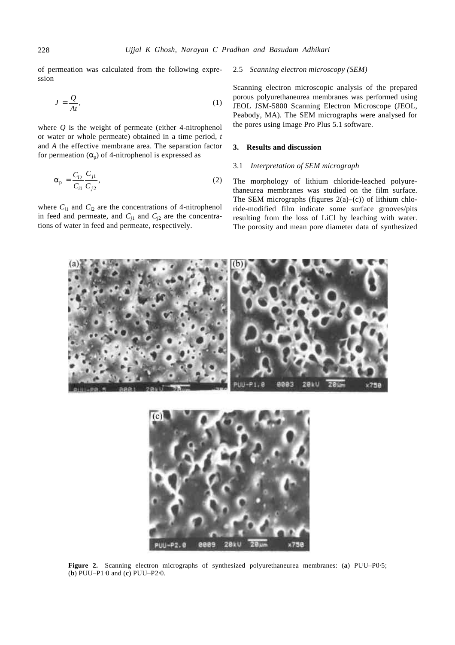of permeation was calculated from the following expression

$$
J = \frac{Q}{At},\tag{1}
$$

where *Q* is the weight of permeate (either 4-nitrophenol or water or whole permeate) obtained in a time period, *t*  and *A* the effective membrane area. The separation factor for permeation  $(a<sub>p</sub>)$  of 4-nitrophenol is expressed as

$$
a_{\rm p} = \frac{C_{i2}}{C_{i1}} \frac{C_{j1}}{C_{j2}},\tag{2}
$$

where  $C_{i1}$  and  $C_{i2}$  are the concentrations of 4-nitrophenol in feed and permeate, and  $C_{i1}$  and  $C_{i2}$  are the concentrations of water in feed and permeate, respectively.

## 2.5 *Scanning electron microscopy (SEM)*

Scanning electron microscopic analysis of the prepared porous polyurethaneurea membranes was performed using JEOL JSM-5800 Scanning Electron Microscope (JEOL, Peabody, MA). The SEM micrographs were analysed for the pores using Image Pro Plus 5.1 software.

## **3. Results and discussion**

## 3.1 *Interpretation of SEM micrograph*

The morphology of lithium chloride-leached polyurethaneurea membranes was studied on the film surface. The SEM micrographs (figures  $2(a)$ –(c)) of lithium chloride-modified film indicate some surface grooves/pits resulting from the loss of LiCl by leaching with water. The porosity and mean pore diameter data of synthesized





**Figure 2.** Scanning electron micrographs of synthesized polyurethaneurea membranes: (**a**) PUU–P0⋅5; (**b**) PUU–P1⋅0 and (**c**) PUU–P2⋅0.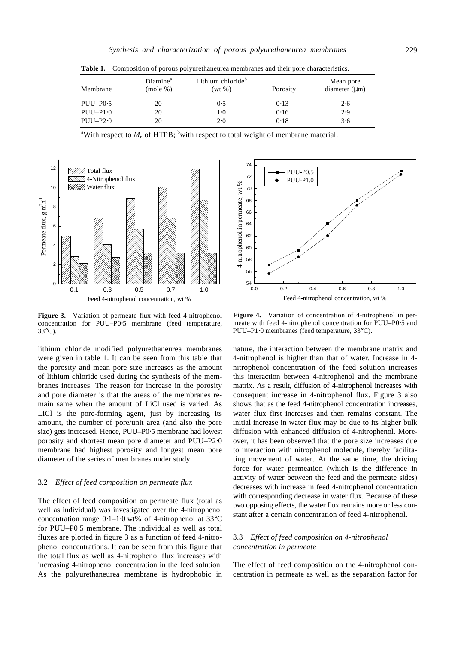| Membrane    | Diamine <sup>a</sup><br>(mole %) | Lithium chloride <sup>b</sup><br>$(wt \, \%)$ | Porosity | Mean pore<br>diameter $(\mu m)$ |
|-------------|----------------------------------|-----------------------------------------------|----------|---------------------------------|
| $PUU-P0.5$  | 20                               | 0.5                                           | 0.13     | 2.6                             |
| $PIJI-P1.0$ | 20                               | $1-0$                                         | 0.16     | 2.9                             |
| $PIJI-P2.0$ | 20                               | $2-0$                                         | 0.18     | 3.6                             |

**Table 1.** Composition of porous polyurethaneurea membranes and their pore characteristics.





**Figure 3.** Variation of permeate flux with feed 4-nitrophenol concentration for PUU–P0⋅5 membrane (feed temperature, 33°C).

lithium chloride modified polyurethaneurea membranes were given in table 1. It can be seen from this table that the porosity and mean pore size increases as the amount of lithium chloride used during the synthesis of the membranes increases. The reason for increase in the porosity and pore diameter is that the areas of the membranes remain same when the amount of LiCl used is varied. As LiCl is the pore-forming agent, just by increasing its amount, the number of pore/unit area (and also the pore size) gets increased. Hence, PUU–P0⋅5 membrane had lowest porosity and shortest mean pore diameter and PUU–P2⋅0 membrane had highest porosity and longest mean pore diameter of the series of membranes under study.

# 3.2 *Effect of feed composition on permeate flux*

The effect of feed composition on permeate flux (total as well as individual) was investigated over the 4-nitrophenol concentration range 0⋅1–1⋅0 wt% of 4-nitrophenol at 33°C for PUU–P0⋅5 membrane. The individual as well as total fluxes are plotted in figure 3 as a function of feed 4-nitrophenol concentrations. It can be seen from this figure that the total flux as well as 4-nitrophenol flux increases with increasing 4-nitrophenol concentration in the feed solution. As the polyurethaneurea membrane is hydrophobic in



**Figure 4.** Variation of concentration of 4-nitrophenol in permeate with feed 4-nitrophenol concentration for PUU–P0⋅5 and PUU–P1⋅0 membranes (feed temperature, 33°C).

nature, the interaction between the membrane matrix and 4-nitrophenol is higher than that of water. Increase in 4 nitrophenol concentration of the feed solution increases this interaction between 4-nitrophenol and the membrane matrix. As a result, diffusion of 4-nitrophenol increases with consequent increase in 4-nitrophenol flux. Figure 3 also shows that as the feed 4-nitrophenol concentration increases, water flux first increases and then remains constant. The initial increase in water flux may be due to its higher bulk diffusion with enhanced diffusion of 4-nitrophenol. Moreover, it has been observed that the pore size increases due to interaction with nitrophenol molecule, thereby facilitating movement of water. At the same time, the driving force for water permeation (which is the difference in activity of water between the feed and the permeate sides) decreases with increase in feed 4-nitrophenol concentration with corresponding decrease in water flux. Because of these two opposing effects, the water flux remains more or less constant after a certain concentration of feed 4-nitrophenol.

## 3.3 *Effect of feed composition on 4-nitrophenol concentration in permeate*

The effect of feed composition on the 4-nitrophenol concentration in permeate as well as the separation factor for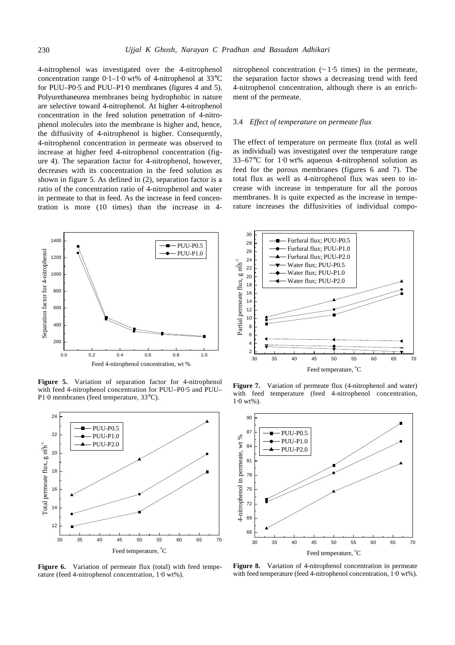4-nitrophenol was investigated over the 4-nitrophenol concentration range 0⋅1–1⋅0 wt% of 4-nitrophenol at 33°C for PUU–P0⋅5 and PUU–P1⋅0 membranes (figures 4 and 5). Polyurethaneurea membranes being hydrophobic in nature are selective toward 4-nitrophenol. At higher 4-nitrophenol concentration in the feed solution penetration of 4-nitrophenol molecules into the membrane is higher and, hence, the diffusivity of 4-nitrophenol is higher. Consequently, 4-nitrophenol concentration in permeate was observed to increase at higher feed 4-nitrophenol concentration (figure 4). The separation factor for 4-nitrophenol, however, decreases with its concentration in the feed solution as shown in figure 5. As defined in (2), separation factor is a ratio of the concentration ratio of 4-nitrophenol and water in permeate to that in feed. As the increase in feed concentration is more (10 times) than the increase in 4-



**Figure 5.** Variation of separation factor for 4-nitrophenol with feed 4-nitrophenol concentration for PUU–P0⋅5 and PUU– P1⋅0 membranes (feed temperature, 33°C).



Figure 6. Variation of permeate flux (total) with feed temperature (feed 4-nitrophenol concentration, 1⋅0 wt%).

nitrophenol concentration  $(~ 1.5$  times) in the permeate, the separation factor shows a decreasing trend with feed 4-nitrophenol concentration, although there is an enrichment of the permeate.

#### 3.4 *Effect of temperature on permeate flux*

The effect of temperature on permeate flux (total as well as individual) was investigated over the temperature range 33–67°C for 1⋅0 wt% aqueous 4-nitrophenol solution as feed for the porous membranes (figures 6 and 7). The total flux as well as 4-nitrophenol flux was seen to increase with increase in temperature for all the porous membranes. It is quite expected as the increase in temperature increases the diffusivities of individual compo-



**Figure 7.** Variation of permeate flux (4-nitrophenol and water) with feed temperature (feed 4-nitrophenol concentration,  $1.0 \text{ wt\%}.$ 



**Figure 8.** Variation of 4-nitrophenol concentration in permeate with feed temperature (feed 4-nitrophenol concentration, 1⋅0 wt%).